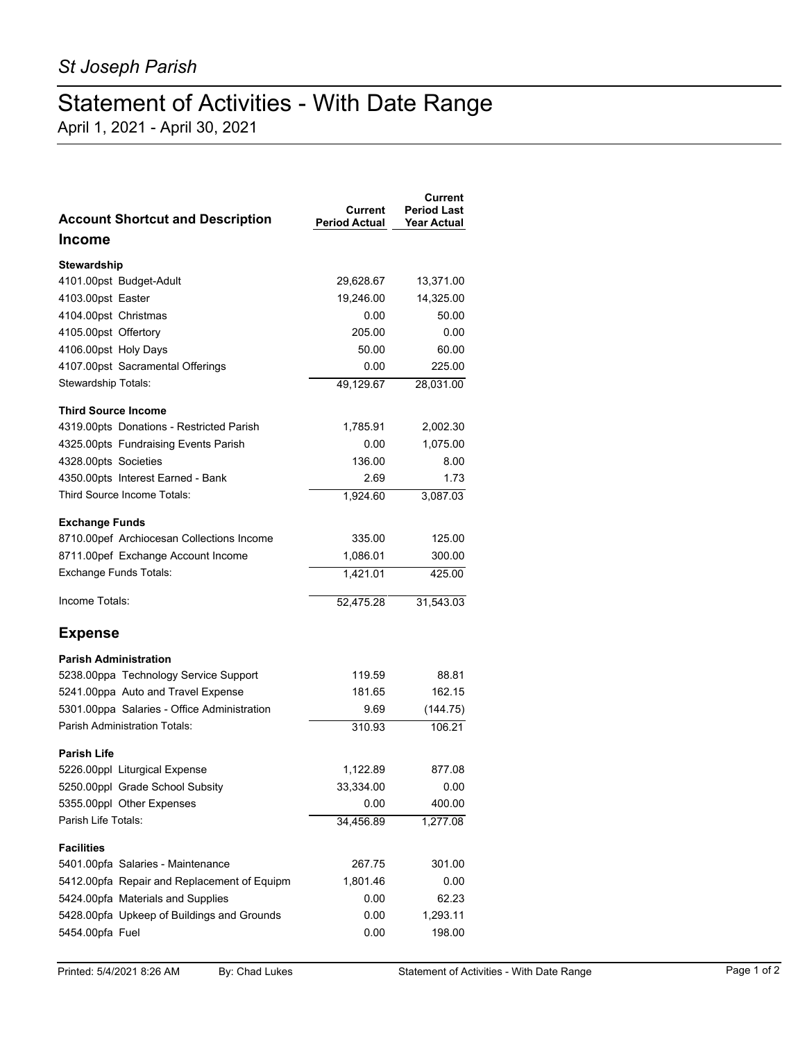## Statement of Activities - With Date Range

April 1, 2021 - April 30, 2021

| <b>Account Shortcut and Description</b>     | Current<br><b>Period Actual</b> | Current<br><b>Period Last</b><br>Year Actual |
|---------------------------------------------|---------------------------------|----------------------------------------------|
| Income                                      |                                 |                                              |
| Stewardship                                 |                                 |                                              |
| 4101.00pst Budget-Adult                     | 29,628.67                       | 13,371.00                                    |
| 4103.00pst Easter                           | 19,246.00                       | 14,325.00                                    |
| 4104.00pst Christmas                        | 0.00                            | 50.00                                        |
| 4105.00pst Offertory                        | 205.00                          | 0.00                                         |
| 4106.00pst Holy Days                        | 50.00                           | 60.00                                        |
| 4107.00pst Sacramental Offerings            | 0.00                            | 225.00                                       |
| Stewardship Totals:                         | 49,129.67                       | 28,031.00                                    |
| <b>Third Source Income</b>                  |                                 |                                              |
| 4319.00pts Donations - Restricted Parish    | 1,785.91                        | 2,002.30                                     |
| 4325.00pts Fundraising Events Parish        | 0.00                            | 1,075.00                                     |
| 4328.00pts Societies                        | 136.00                          | 8.00                                         |
| 4350.00pts Interest Earned - Bank           | 2.69                            | 1.73                                         |
| Third Source Income Totals:                 | 1,924.60                        | 3,087.03                                     |
| <b>Exchange Funds</b>                       |                                 |                                              |
| 8710.00pef Archiocesan Collections Income   | 335.00                          | 125.00                                       |
| 8711.00pef Exchange Account Income          | 1,086.01                        | 300.00                                       |
| Exchange Funds Totals:                      | 1,421.01                        | 425.00                                       |
| Income Totals:                              | 52,475.28                       | 31,543.03                                    |
| <b>Expense</b>                              |                                 |                                              |
| <b>Parish Administration</b>                |                                 |                                              |
| 5238.00ppa Technology Service Support       | 119.59                          | 88.81                                        |
| 5241.00ppa Auto and Travel Expense          | 181.65                          | 162.15                                       |
| 5301.00ppa Salaries - Office Administration | 9.69                            | (144.75)                                     |
| <b>Parish Administration Totals:</b>        | 310.93                          | 106.21                                       |
| <b>Parish Life</b>                          |                                 |                                              |
| 5226.00ppl Liturgical Expense               | 1,122.89                        | 877.08                                       |
| 5250.00ppl Grade School Subsity             | 33,334.00                       | 0.00                                         |
| 5355.00ppl Other Expenses                   | 0.00                            | 400.00                                       |
| Parish Life Totals:                         | 34,456.89                       | 1,277.08                                     |
| <b>Facilities</b>                           |                                 |                                              |
| 5401.00pfa Salaries - Maintenance           | 267.75                          | 301.00                                       |
| 5412.00pfa Repair and Replacement of Equipm | 1,801.46                        | 0.00                                         |
| 5424.00pfa Materials and Supplies           | 0.00                            | 62.23                                        |
| 5428.00pfa Upkeep of Buildings and Grounds  | 0.00                            | 1,293.11                                     |
| 5454.00pfa Fuel                             | 0.00                            | 198.00                                       |